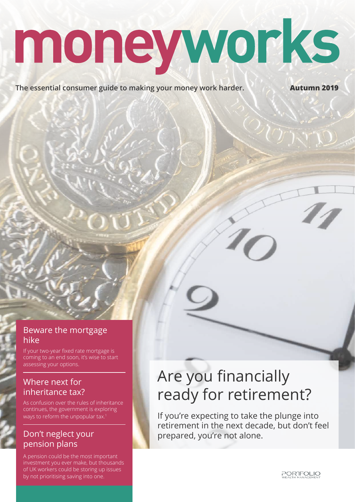# moneyworks

**The essential consumer guide to making your money work harder. Autumn 2019** 

#### Beware the mortgage hike

If your two-year fixed rate mortgage is coming to an end soon, it's wise to start assessing your options.

#### Where next for inheritance tax?

As confusion over the rules of inheritance continues, the government is exploring ways to reform the unpopular tax.<sup>1</sup>

#### Don't neglect your pension plans

A pension could be the most important investment you ever make, but thousands of UK workers could be storing up issues by not prioritising saving into one.

# Are you financially ready for retirement?

If you're expecting to take the plunge into retirement in the next decade, but don't feel prepared, you're not alone.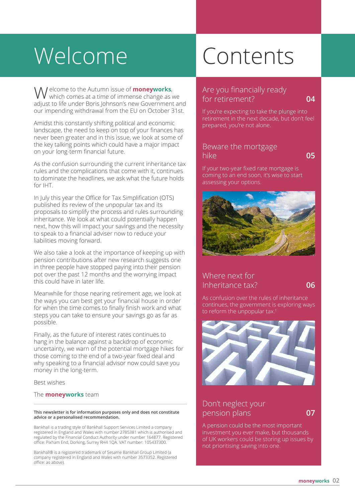# Welcome Contents

 elcome to the Autumn issue of **moneyworks**, Welcome to the Autumn issue of **moneyworks**, Are you financially ready<br>
Note that the of immense change as we<br>
for retirement? adjust to life under Boris Johnson's new Government and our impending withdrawal from the EU on October 31st.

Amidst this constantly shifting political and economic landscape, the need to keep on top of your finances has never been greater and in this issue, we look at some of the key talking points which could have a major impact on your long-term financial future.

As the confusion surrounding the current inheritance tax rules and the complications that come with it, continues to dominate the headlines, we ask what the future holds for IHT.

In July this year the Office for Tax Simplification (OTS) published its review of the unpopular tax and its proposals to simplify the process and rules surrounding inheritance. We look at what could potentially happen next, how this will impact your savings and the necessity to speak to a financial adviser now to reduce your liabilities moving forward.

We also take a look at the importance of keeping up with pension contributions after new research suggests one in three people have stopped paying into their pension pot over the past 12 months and the worrying impact this could have in later life.

Meanwhile for those nearing retirement age, we look at the ways you can best get your financial house in order for when the time comes to finally finish work and what steps you can take to ensure your savings go as far as possible.

Finally, as the future of interest rates continues to hang in the balance against a backdrop of economic uncertainty, we warn of the potential mortgage hikes for those coming to the end of a two-year fixed deal and why speaking to a financial advisor now could save you money in the long-term.

Best wishes

#### The **moneyworks** team

#### **This newsletter is for information purposes only and does not constitute advice or a personalised recommendation.**

Bankhall is a trading style of Bankhall Support Services Limited a company registered in England and Wales with number 2785381 which is authorised and regulated by the Financial Conduct Authority under number 164877. Registered office: Pixham End, Dorking, Surrey RH4 1QA. VAT number: 105437300.

Bankhall® is a registered trademark of Sesame Bankhall Group Limited (a company registered in England and Wales with number 3573352. Registered office: as above).

# for retirement? **04**

If you're expecting to take the plunge into retirement in the next decade, but don't feel prepared, you're not alone.

#### Beware the mortgage hike **05**

If your two-year fixed rate mortgage is coming to an end soon, it's wise to start assessing your options.



#### Where next for Inheritance tax? **06**

As confusion over the rules of inheritance continues, the government is exploring ways to reform the unpopular tax.<sup>1</sup>



#### Don't neglect your pension plans **07**

A pension could be the most important investment you ever make, but thousands of UK workers could be storing up issues by not prioritising saving into one.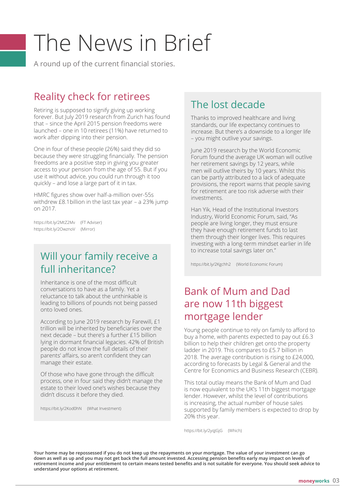# The News in Brief

A round up of the current financial stories.

### Reality check for retirees

Retiring is supposed to signify giving up working forever. But July 2019 research from Zurich has found that – since the April 2015 pension freedoms were launched – one in 10 retirees (11%) have returned to work after dipping into their pension.

One in four of these people (26%) said they did so because they were struggling financially. The pension freedoms are a positive step in giving you greater access to your pension from the age of 55. But if you use it without advice, you could run through it too quickly – and lose a large part of it in tax.

HMRC figures show over half-a-million over-55s withdrew £8.1billion in the last tax year – a 23% jump on 2017.

https://bit.ly/2MtZ2Mv (FT Adviser) https://bit.ly/2OwznoV (Mirror)

### Will your family receive a full inheritance?

Inheritance is one of the most difficult conversations to have as a family. Yet a reluctance to talk about the unthinkable is leading to billions of pounds not being passed onto loved ones.

According to June 2019 research by Farewill, £1 trillion will be inherited by beneficiaries over the next decade – but there's a further £15 billion lying in dormant financial legacies. 42% of British people do not know the full details of their parents' affairs, so aren't confident they can manage their estate.

Of those who have gone through the difficult process, one in four said they didn't manage the estate to their loved one's wishes because they didn't discuss it before they died.

https://bit.ly/2Kod0hN (What Investment)

## The lost decade

Thanks to improved healthcare and living standards, our life expectancy continues to increase. But there's a downside to a longer life – you might outlive your savings.

June 2019 research by the World Economic Forum found the average UK woman will outlive her retirement savings by 12 years, while men will outlive theirs by 10 years. Whilst this can be partly attributed to a lack of adequate provisions, the report warns that people saving for retirement are too risk adverse with their investments.

Han Yik, Head of the Institutional Investors Industry, World Economic Forum, said, "As people are living longer, they must ensure they have enough retirement funds to last them through their longer lives. This requires investing with a long-term mindset earlier in life to increase total savings later on."

https://bit.ly/2Kgchh2 (World Economic Forum)

### Bank of Mum and Dad are now 11th biggest mortgage lender

Young people continue to rely on family to afford to buy a home, with parents expected to pay out £6.3 billion to help their children get onto the property ladder in 2019. This compares to £5.7 billion in 2018. The average contribution is rising to £24,000, according to forecasts by Legal & General and the Centre for Economics and Business Research (CEBR).

This total outlay means the Bank of Mum and Dad is now equivalent to the UK's 11th biggest mortgage lender. However, whilst the level of contributions is increasing, the actual number of house sales supported by family members is expected to drop by 20% this year.

https://bit.ly/2yqJGjG (Which)

**Your home may be repossessed if you do not keep up the repayments on your mortgage. The value of your investment can go down as well as up and you may not get back the full amount invested. Accessing pension benefits early may impact on levels of retirement income and your entitlement to certain means tested benefits and is not suitable for everyone. You should seek advice to understand your options at retirement.**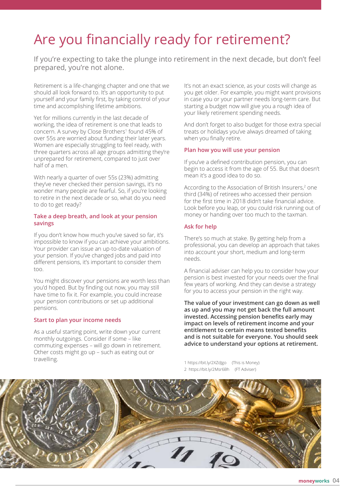# Are you financially ready for retirement?

If you're expecting to take the plunge into retirement in the next decade, but don't feel prepared, you're not alone.

Retirement is a life-changing chapter and one that we should all look forward to. It's an opportunity to put yourself and your family first, by taking control of your time and accomplishing lifetime ambitions.

Yet for millions currently in the last decade of working, the idea of retirement is one that leads to concern. A survey by Close Brothers<sup>1</sup> found 45% of over 55s are worried about funding their later years. Women are especially struggling to feel ready, with three quarters across all age groups admitting they're unprepared for retirement, compared to just over half of a men.

With nearly a quarter of over 55s (23%) admitting they've never checked their pension savings, it's no wonder many people are fearful. So, if you're looking to retire in the next decade or so, what do you need to do to get ready?

#### **Take a deep breath, and look at your pension savings**

If you don't know how much you've saved so far, it's impossible to know if you can achieve your ambitions. Your provider can issue an up-to-date valuation of your pension. If you've changed jobs and paid into different pensions, it's important to consider them too.

You might discover your pensions are worth less than you'd hoped. But by finding out now, you may still have time to fix it. For example, you could increase your pension contributions or set up additional pensions.

#### **Start to plan your income needs**

As a useful starting point, write down your current monthly outgoings. Consider if some – like commuting expenses – will go down in retirement. Other costs might go up – such as eating out or travelling.

It's not an exact science, as your costs will change as you get older. For example, you might want provisions in case you or your partner needs long-term care. But starting a budget now will give you a rough idea of your likely retirement spending needs.

And don't forget to also budget for those extra special treats or holidays you've always dreamed of taking when you finally retire.

#### **Plan how you will use your pension**

If you've a defined contribution pension, you can begin to access it from the age of 55. But that doesn't mean it's a good idea to do so.

According to the Association of British Insurers,<sup>2</sup> one third (34%) of retirees who accessed their pension for the first time in 2018 didn't take financial advice. Look before you leap, or you could risk running out of money or handing over too much to the taxman.

#### **Ask for help**

There's so much at stake. By getting help from a professional, you can develop an approach that takes into account your short, medium and long-term needs.

A financial adviser can help you to consider how your pension is best invested for your needs over the final few years of working. And they can devise a strategy for you to access your pension in the right way.

**The value of your investment can go down as well as up and you may not get back the full amount invested. Accessing pension benefits early may impact on levels of retirement income and your entitlement to certain means tested benefits and is not suitable for everyone. You should seek advice to understand your options at retirement.**

1 https://bit.ly/2XZdJgo (This is Money) 2 https://bit.ly/2Msr6Bh (FT Adviser)

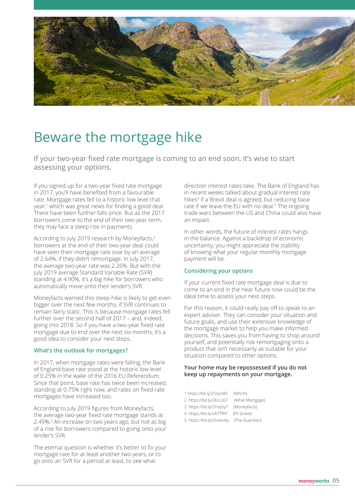

# Beware the mortgage hike

If your two-year fixed rate mortgage is coming to an end soon, it's wise to start assessing your options.

If you signed up for a two-year fixed rate mortgage in 2017, you'll have benefited from a favourable rate. Mortgage rates fell to a historic low level that year,<sup>1</sup> which was great news for finding a good deal. There have been further falls since. But as the 2017 borrowers come to the end of their two-year term, they may face a steep rise in payments.

According to July 2019 research by Moneyfacts,<sup>2</sup> borrowers at the end of their two-year deal could have seen their mortgage rate soar by an average of 2.64%, if they didn't remortgage. In July 2017, the average two-year rate was 2.26%. But with the July 2019 average Standard Variable Rate (SVR) standing at 4.90%, it's a big hike for borrowers who automatically move onto their lender's SVR.

Moneyfacts warned this steep hike is likely to get even bigger over the next few months, if SVR continues to remain fairly static. This is because mortgage rates fell further over the second half of 2017 – and, indeed, going into 2018. So if you have a two-year fixed rate mortgage due to end over the next six months, it's a good idea to consider your next steps.

#### **What's the outlook for mortgages?**

In 2017, when mortgage rates were falling, the Bank of England base rate stood at the historic low level of 0.25% in the wake of the 2016 EU Referendum. Since that point, base rate has twice been increased, standing at 0.75% right now, and rates on fixed rate mortgages have increased too.

According to July 2019 figures from Moneyfacts, the average two-year fixed rate mortgage stands at 2.49%.<sup>3</sup> An increase on two years ago, but not as big of a rise for borrowers compared to going onto your lender's SVR.

The eternal question is whether it's better to fix your mortgage rate for at least another two years, or to go onto an SVR for a period at least, to see what

direction interest rates take. The Bank of England has in recent weeks talked about gradual interest rate hikes<sup>4</sup> if a Brexit deal is agreed, but reducing base rate if we leave the EU with no deal.<sup>5</sup> The ongoing trade wars between the US and China could also have an impact.

In other words, the future of interest rates hangs in the balance. Against a backdrop of economic uncertainty, you might appreciate the stability of knowing what your regular monthly mortgage payment will be.

#### **Considering your options**

If your current fixed rate mortgage deal is due to come to an end in the near future now could be the ideal time to assess your next steps.

For this reason, it could really pay off to speak to an expert adviser. They can consider your situation and future goals, and use their extensive knowledge of the mortgage market to help you make informed decisions. This saves you from having to shop around yourself, and potentially risk remortgaging onto a product that isn't necessarily as suitable for your situation compared to other options.

#### **Your home may be repossessed if you do not keep up repayments on your mortgage.**

| 1 https://bit.ly/2SSpn85 | (Which)         |
|--------------------------|-----------------|
| 2 https://bit.ly/2KcLzG1 | (What Mortgage) |
| 3 https://bit.ly/2Ysg5y7 | (Moneyfacts)    |
| 4 https://bit.ly/2K7TfKY | (FX Street)     |
| 5 https://bit.ly/2YaVx4q | (The Guardian)  |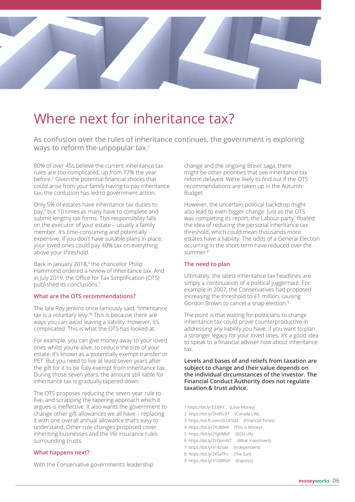

# Where next for inheritance tax?

As confusion over the rules of inheritance continues, the government is exploring ways to reform the unpopular tax.<sup>1</sup>

80% of over 45s believe the current inheritance tax rules are too complicated, up from 77% the year before.2 Given the potential financial shocks that could arise from your family having to pay inheritance tax, the confusion has led to government action.

Only 5% of estates have inheritance tax duties to pay,3 but 10 times as many have to complete and submit lengthy tax forms. This responsibility falls on the executor of your estate – usually a family member. It's time-consuming and potentially expensive. If you don't have suitable plans in place, your loved ones could pay 40% tax on everything above your threshold.

Back in January 2018,<sup>4</sup> the chancellor Philip Hammond ordered a review of inheritance tax. And in July 2019, the Office for Tax Simplification (OTS) published its conclusions.5

#### **What are the OTS recommendations?**

The late Roy Jenkins once famously said, "Inheritance tax is a voluntary levy."6 This is because there are ways you can avoid leaving a liability. However, it's complicated. This is what the OTS has looked at.

For example, you can give money away to your loved ones whilst you're alive, to reduce the size of your estate. It's known as a 'potentially exempt transfer' or PET. But you need to live at least seven years after the gift for it to be fully exempt from inheritance tax. During those seven years, the amount still liable for inheritance tax is gradually tapered down.

The OTS proposes reducing the seven-year rule to five, and scrapping the tapering approach which it argues is ineffective. It also wants the government to change other gift allowances we all have – replacing it with one overall annual allowance that's easy to understand. Other rule changes proposed cover inheriting businesses and the life insurance rules surrounding trusts.

#### **What happens next?**

With the Conservative government's leadership

change and the ongoing Brexit saga, there might be other priorities that see inheritance tax reform delayed. We're likely to find out if the OTS' recommendations are taken up in the Autumn Budget.

However, the uncertain political backdrop might also lead to even bigger change. Just as the OTS was completing its report, the Labour party<sup>7</sup> floated the idea of reducing the personal inheritance tax threshold, which could mean thousands more estates have a liability. The odds of a General Election occurring in the short-term have reduced over the summer.8

#### **The need to plan**

Ultimately, the latest inheritance tax headlines are simply a continuation of a political juggernaut. For example in 2007, the Conservatives had proposed increasing the threshold to £1 million, causing Gordon Brown to cancel a snap election.9

The point is that waiting for politicians to change inheritance tax could prove counterproductive in addressing any liability you have. If you want to plan a stronger legacy for your loved ones, it's a good idea to speak to a financial adviser now about inheritance tax.

**Levels and bases of and reliefs from taxation are subject to change and their value depends on the individual circumstances of the investor. The Financial Conduct Authority does not regulate taxation & trust advice.** 

1 https://bit.ly/333JlkY (Love Money) 2 https://bit.ly/2Hd5L97 (Canada Life) 3 https://on.ft.com/2LUE5d2 (Financial Times) 4 https://bit.ly/2Yu80eR (This is Money) 5 https://bit.ly/2Yg6MbP (GOV UK) 6 https://bit.ly/2LQomN7 (What Investment) 7 https://bit.ly/314z5ae (Independent) 8 https://bit.ly/2K5aTPc (The Sun) 9 https://bit.ly/31GMSVF (Express)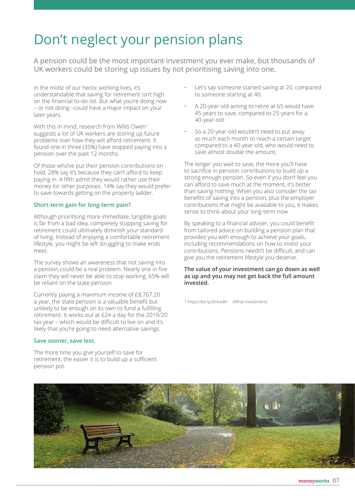# Don't neglect your pension plans

A pension could be the most important investment you ever make, but thousands of UK workers could be storing up issues by not prioritising saving into one.

In the midst of our hectic working lives, it's understandable that saving for retirement isn't high on the financial to-do list. But what you're doing now – or not doing –could have a major impact on your later years.

With this in mind, research from Willis Owen<sup>1</sup> suggests a lot of UK workers are storing up future problems over how they will afford retirement. It found one in three (35%) have stopped paying into a pension over the past 12 months.

Of those who've put their pension contributions on hold, 28% say it's because they can't afford to keep paying in. A fifth admit they would rather use their money for other purposes. 14% say they would prefer to save towards getting on the property ladder.

#### **Short-term gain for long-term pain?**

Although prioritising more immediate, tangible goals is far from a bad idea, completely stopping saving for retirement could ultimately diminish your standard of living. Instead of enjoying a comfortable retirement lifestyle, you might be left struggling to make ends meet.

The survey shows an awareness that not saving into a pension could be a real problem. Nearly one in five claim they will never be able to stop working. 65% will be reliant on the state pension.

Currently paying a maximum income of £8,767.20 a year, the state pension is a valuable benefit but unlikely to be enough on its own to fund a fulfilling retirement. It works out at £24 a day for the 2019/20 tax year – which would be difficult to live on and it's likely that you're going to need alternative savings.

#### **Save sooner, save less**

The more time you give yourself to save for retirement, the easier it is to build up a sufficient pension pot.

- Let's say someone started saving at 20, compared to someone starting at 40.
- A 20-year-old aiming to retire at 65 would have 45 years to save, compared to 25 years for a 40-year-old.
- So a 20-year-old wouldn't need to put away as much each month to reach a certain target compared to a 40-year-old, who would need to save almost double the amount.

The longer you wait to save, the more you'll have to sacrifice in pension contributions to build up a strong enough pension. So even if you don't feel you can afford to save much at the moment, it's better than saving nothing. When you also consider the tax benefits of saving into a pension, plus the employer contributions that might be available to you, it makes sense to think about your long-term now.

By speaking to a financial adviser, you could benefit from tailored advice on building a pension plan that provides you with enough to achieve your goals, including recommendations on how to invest your contributions. Pensions needn't be difficult, and can give you the retirement lifestyle you deserve.

#### **The value of your investment can go down as well as up and you may not get back the full amount invested.**

1 https://bit.ly/2X4osBY (What Investment)